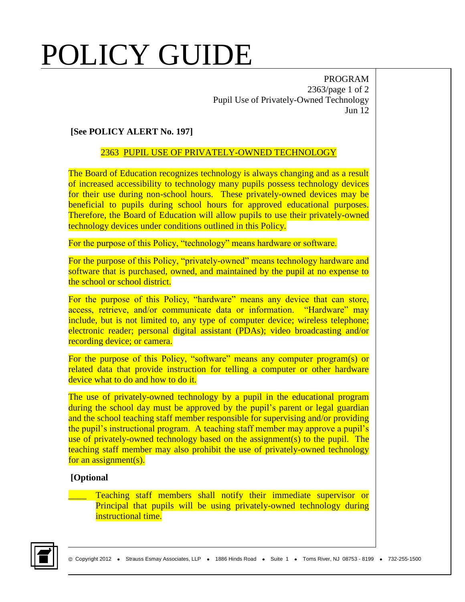# POLICY GUIDE

PROGRAM 2363/page 1 of 2 Pupil Use of Privately-Owned Technology Jun 12

### **[See POLICY ALERT No. 197]**

### 2363 PUPIL USE OF PRIVATELY-OWNED TECHNOLOGY

The Board of Education recognizes technology is always changing and as a result of increased accessibility to technology many pupils possess technology devices for their use during non-school hours. These privately-owned devices may be beneficial to pupils during school hours for approved educational purposes. Therefore, the Board of Education will allow pupils to use their privately-owned technology devices under conditions outlined in this Policy.

For the purpose of this Policy, "technology" means hardware or software.

For the purpose of this Policy, "privately-owned" means technology hardware and software that is purchased, owned, and maintained by the pupil at no expense to the school or school district.

For the purpose of this Policy, "hardware" means any device that can store, access, retrieve, and/or communicate data or information. "Hardware" may include, but is not limited to, any type of computer device; wireless telephone; electronic reader; personal digital assistant (PDAs); video broadcasting and/or recording device; or camera.

For the purpose of this Policy, "software" means any computer program(s) or related data that provide instruction for telling a computer or other hardware device what to do and how to do it.

The use of privately-owned technology by a pupil in the educational program during the school day must be approved by the pupil's parent or legal guardian and the school teaching staff member responsible for supervising and/or providing the pupil's instructional program. A teaching staff member may approve a pupil's use of privately-owned technology based on the assignment(s) to the pupil. The teaching staff member may also prohibit the use of privately-owned technology for an assignment(s).

#### **[Optional**

Teaching staff members shall notify their immediate supervisor or Principal that pupils will be using privately-owned technology during instructional time.